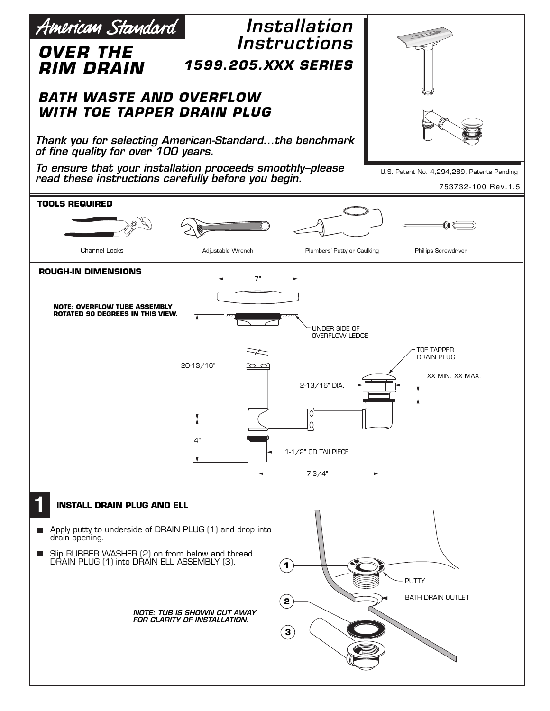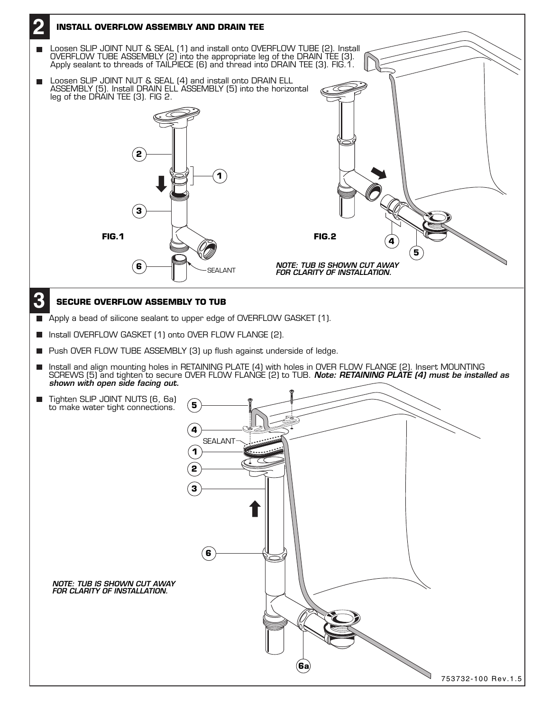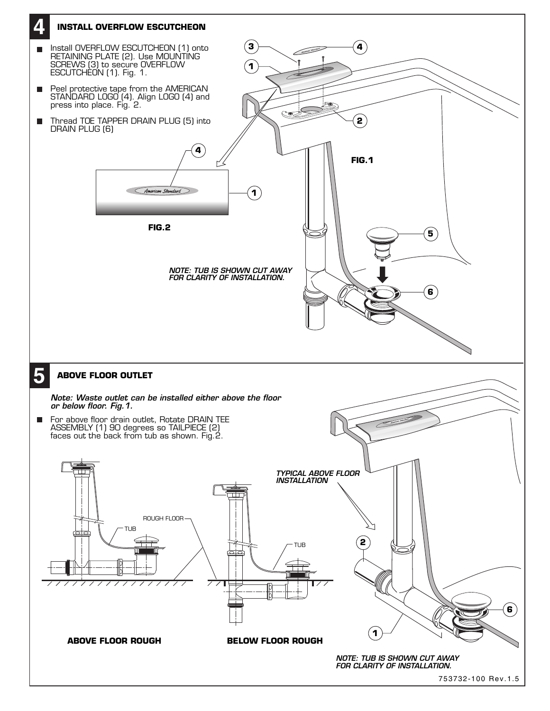